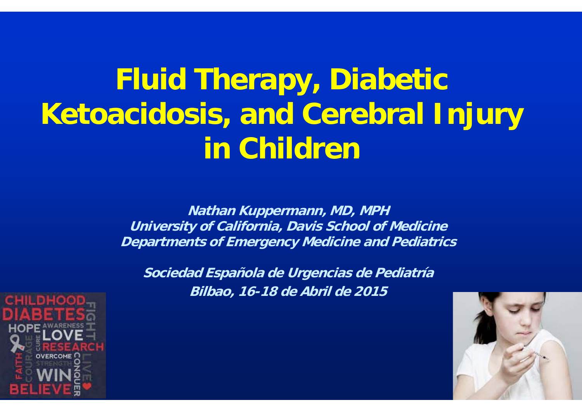## **Fluid Therapy, Diabetic Ketoacidosis and Cerebral Injury Ketoacidosis, in Children**

**Nathan Kuppermann, MD, MPH University of California, Davis School of Medicine Departments of Emergency Medicine and Pediatrics**

**Sociedad Española de Urgencias de Pediatría Bilbao, 16-18 de Abril de 2015**



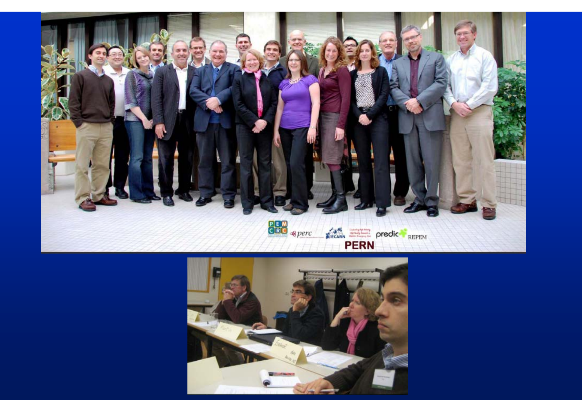

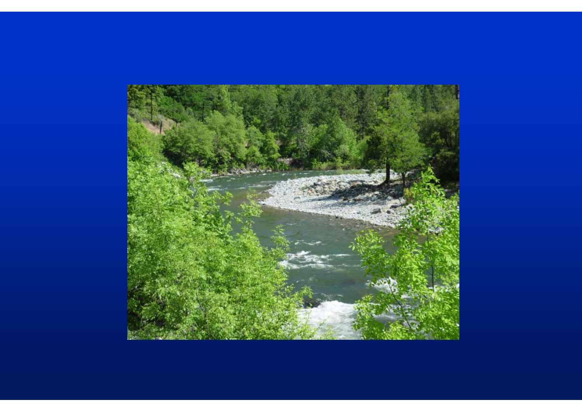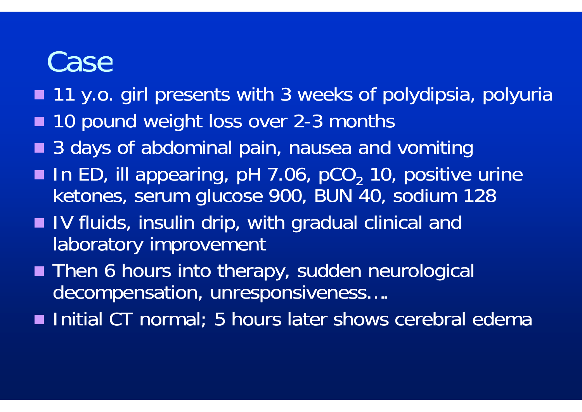### Case

- 11 y.o. girl presents with 3 weeks of polydipsia, polyuria
- 10 pound weight loss over 2-3 months
- 3 days of abdominal pain, nausea and vomiting
- In ED, ill appearing, pH 7.06, pCO<sub>2</sub> 10, positive urine ketones, serum glucose 900, BUN 40, sodium 128
- **IV** fluids, insulin drip, with gradual clinical and laboratory improvement
- **Then 6 hours into therapy, sudden neurological** decompensation, unresponsiveness....
- **Initial CT normal; 5 hours later shows cerebral edema**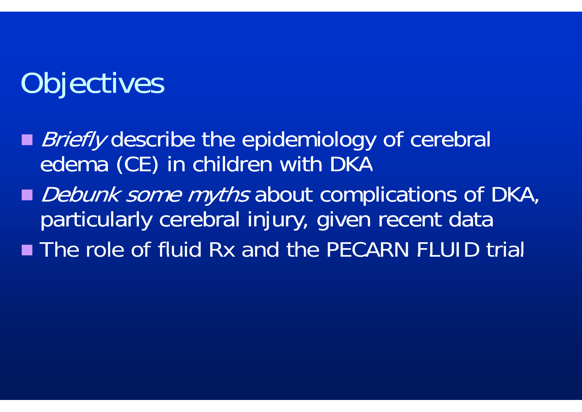# **Objectives**

- **Briefly describe the epidemiology of cerebral** edema (CE) in children with DKA
- Debunk some myths about complications of DKA, particularly cerebral injury, given recent data **The role of fluid Rx and the PECARN FLUID trial**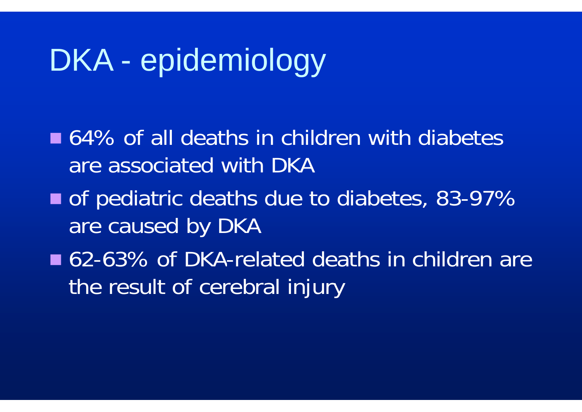## DKA - epidemiology

■ 64% of all deaths in children with diabetes are associated with DKA

- of pediatric deaths due to diabetes, 83-97% are caused by DKA
- 62-63% of DKA-related deaths in children are the result of cerebral injury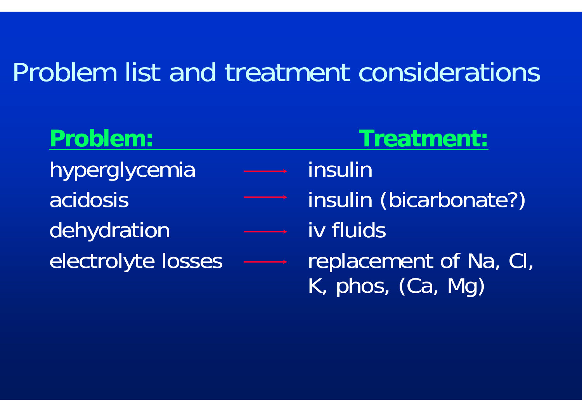### Problem list and treatment considerations

| <b>Problem:</b>    |                   | <b>Treatment:</b>                           |
|--------------------|-------------------|---------------------------------------------|
| hyperglycemia      |                   | insulin                                     |
| acidosis           | $\longrightarrow$ | insulin (bicarbonate?)                      |
| dehydration        |                   | iv fluids                                   |
| electrolyte losses |                   | replacement of Na, CI,<br>K, phos, (Ca, Mg) |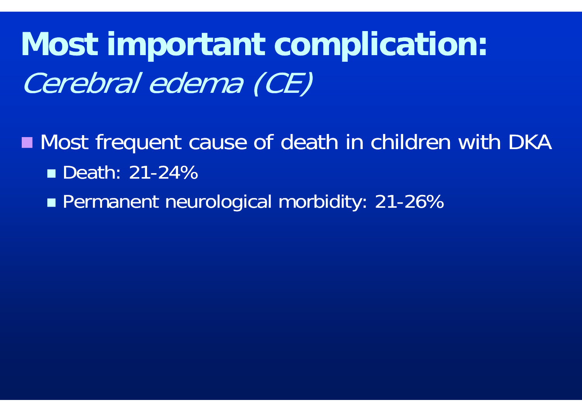# **Most important complication:** Cerebral edema (CE)

■ Most frequent cause of death in children with DKA ■ Death: 21-24%

Permanent neurological morbidity: 21 21-26%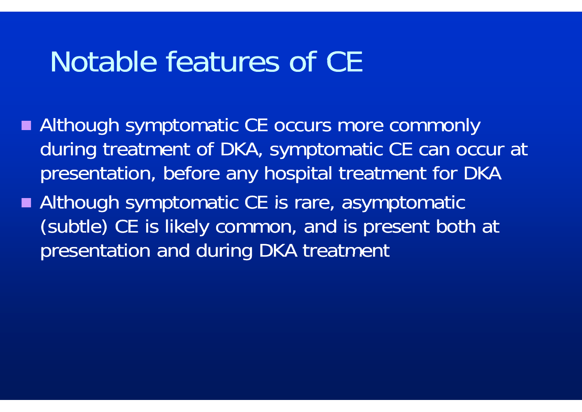### Notable features of CE

- **Although symptomatic CE occurs more commonly** during treatment of DKA, symptomatic CE can occur at presentation, before any hospital treatment for DKA
- Although symptomatic CE is rare, asymptomatic (subtle) CE is likely common, and is present both at presentation and during DKA treatment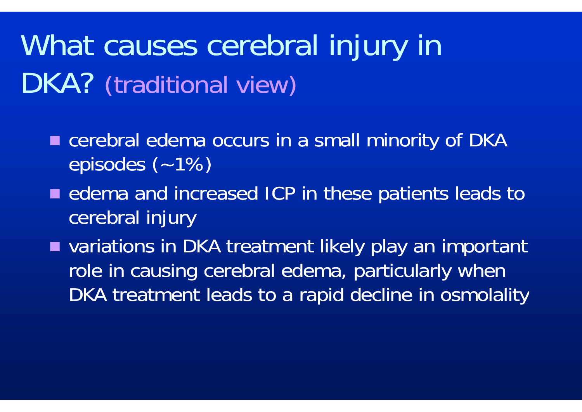What causes cerebral in jury in I DKA? (traditional view)

- cerebral edema occurs in a small minority of DKA episodes (~1%)
- **Example 20 and increased ICP in these patients leads to** cerebral in jury
- variations in DKA treatment likely play an important role in causing cerebral edema, particularly when DKA treatment leads to a rapid decline in osmolality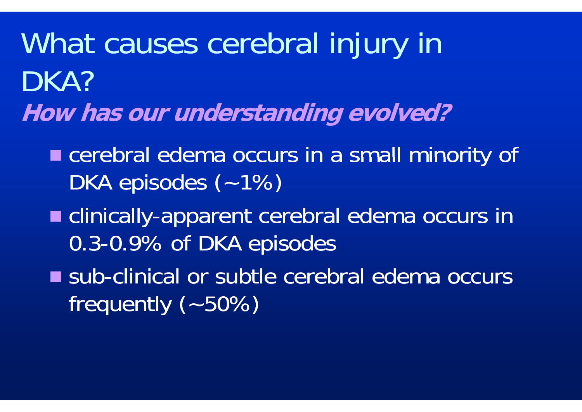What causes cerebral injury in DKA? **How has our understanding evolved? understanding evolved?**

- **Exercebral edema occurs in a small minority of** DKA episodes (~1%)
- clinically-apparent cerebral edema occurs in 0.3-0.9% of DKA episodes
- sub-clinical or subtle cerebral edema occurs frequently (~50%)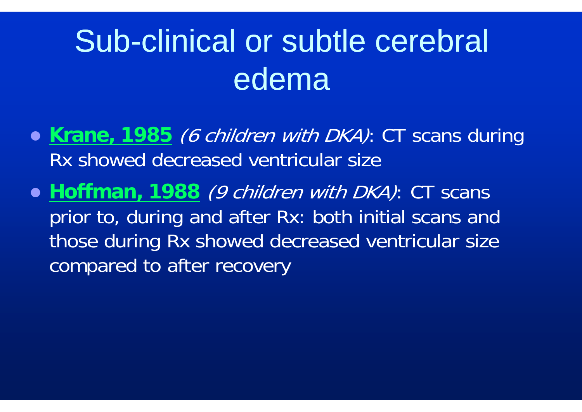# Sub-clinical or subtle cerebral edema

- **Krane, 1985** (6 children with DKA): CT scans during Rx showed decreased ventricular size
- **Hoffman, 1988** (9 children with DKA): CT scans prior to, during and after Rx: both initial scans and those during Rx showed decreased ventricular size compared to after recovery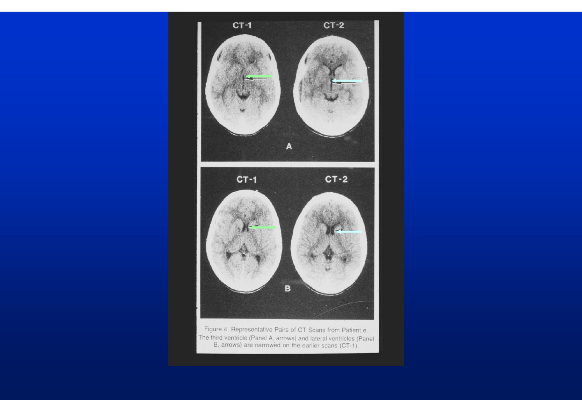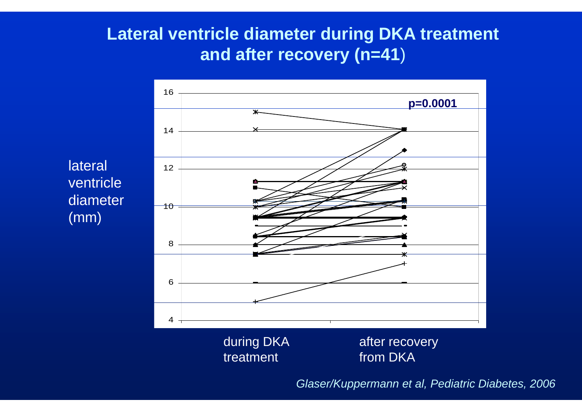#### **Lateral ventricle diameter during DKA treatment and after recovery (n =41** )  **41**



*Glaser/Kuppermann et al, Pediatric Diabetes, 2006*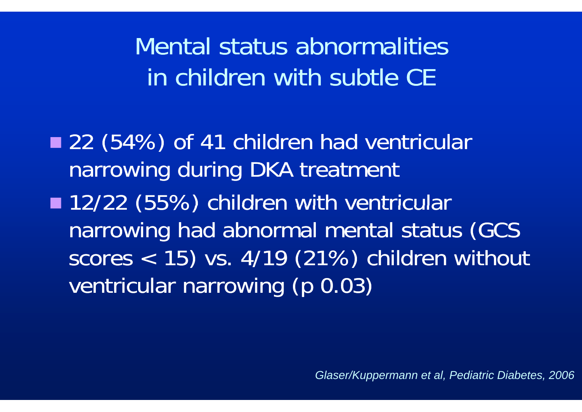Mental status abnormalities in children with subtle CE

■ 22 (54%) of 41 children had ventricular narrowin g durin g DKA treatment ■ 12/22 (55%) children with ventricular narrowing had abnormal mental status (GCS scores < 15) vs. 4/19 (21%) children without ventricular narrowing (p 0.03)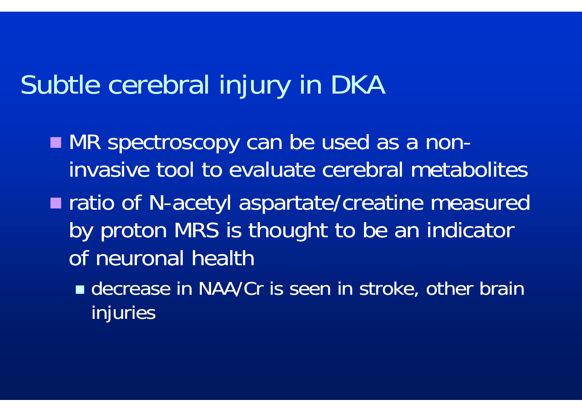#### Subtle cerebral injury in DKA

- MR spectroscopy can be used as a noninvasive tool to evaluate cerebral metabolites
- ratio of N-acetyl aspartate/creatine measured by proton MRS is thought to be an indicator of neuronal health
	- **decrease in NAA/Cr is seen in stroke, other brain** in juries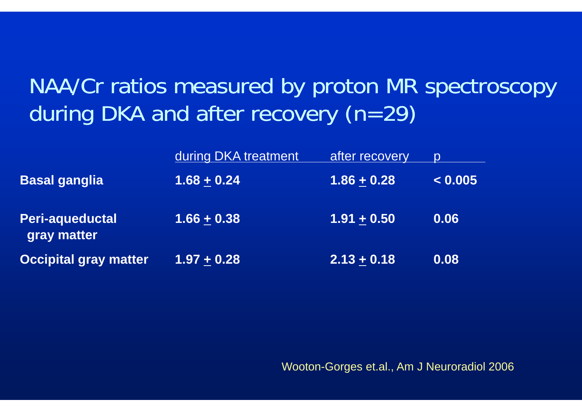#### NAA/Cr ratios measured by proton MR spectroscopy during DKA and after recovery (n=29)

|                                | during DKA treatment | after recovery  | D       |
|--------------------------------|----------------------|-----------------|---------|
| <b>Basal ganglia</b>           | $1.68 + 0.24$        | $1.86 + 0.28$   | < 0.005 |
| Peri-aqueductal<br>gray matter | $1.66 + 0.38$        | $1.91 + 0.50$   | 0.06    |
| <b>Occipital gray matter</b>   | $1.97 + 0.28$        | $(2.13 + 0.18)$ | 0.08    |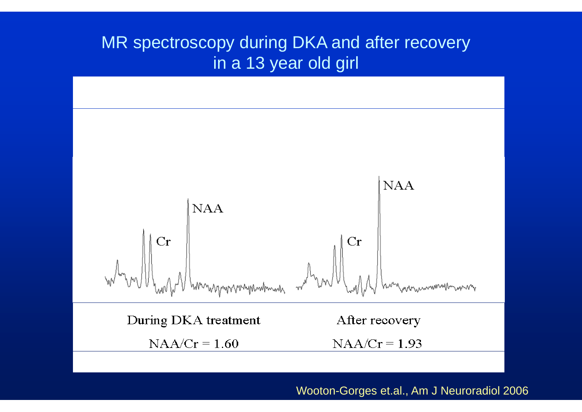#### MR spectroscopy during DKA and after recovery in <sup>a</sup> 13 year old girl



Wooton-Gorges et.al., Am J Neuroradiol 2006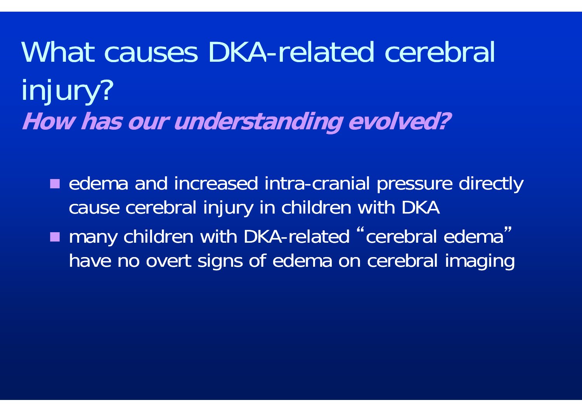What causes DKA-related cerebral injury? **How has our understanding evolved?**

**Exercise and increased intra-cranial pressure directly** cause cerebral injury in children with DKA **nany children with DKA-related "cerebral edema** "have no overt signs of edema on cerebral imaging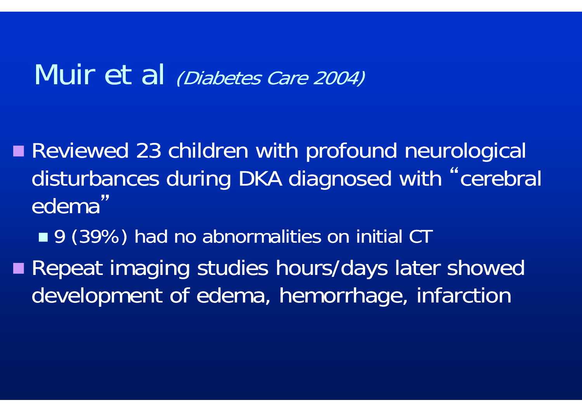#### Muir et al (Diabetes Care 2004)

 $\blacksquare$  Reviewed 23 children with profound neurological disturbances during DKA diagnosed with "cerebral edema"

■ 9 (39%) had no abnormalities on initial CT

**Repeat imaging studies hours/days later showed** development of edema, hemorrhage, infarction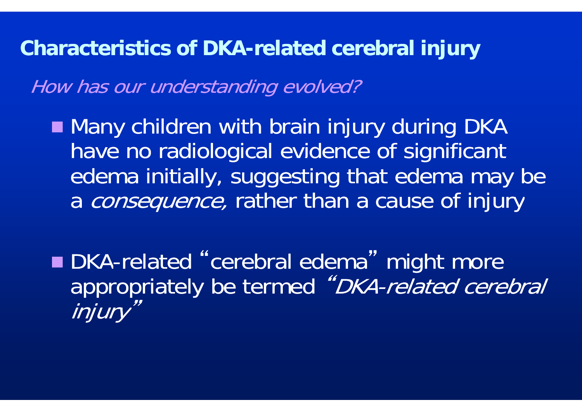**Characteristics of DKA-related cerebral injury** 

How has our understanding evolved?

• Many children with brain injury during DKA have no radiological evidence of significant edema initially, suggesting that edema may be a consequence, rather than a cause of injury

■ DKA-related "cerebral edema" might more appropriately be termed "DKA-related cerebral *injury"*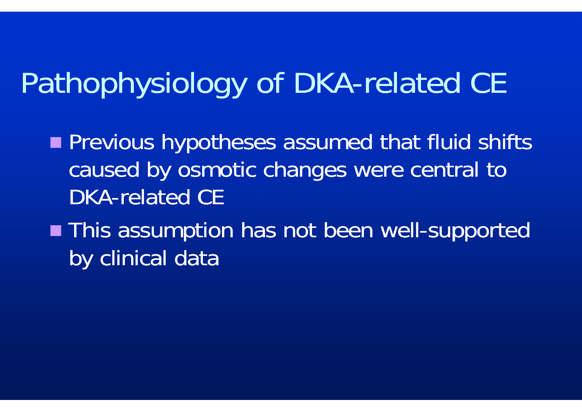## Pathophysiology of DKA-related CE

**Previous hypotheses assumed that fluid shifts** caused by osmotic chan ges were central to DKA-related CF

**This assumption has not been well-supported** by clinical data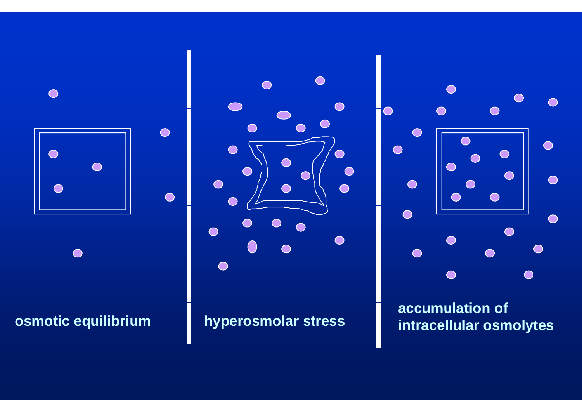

#### osmotic equilibrium



#### hyperosmolar stress



accumulation of intracellular osmolytes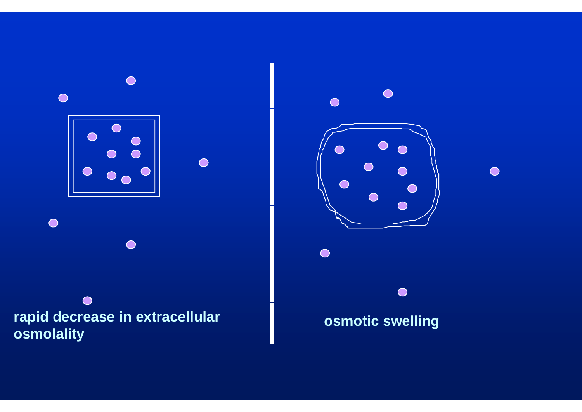



 $\bullet$ **rapid decrease in extracellular osmolality osmotic swelling**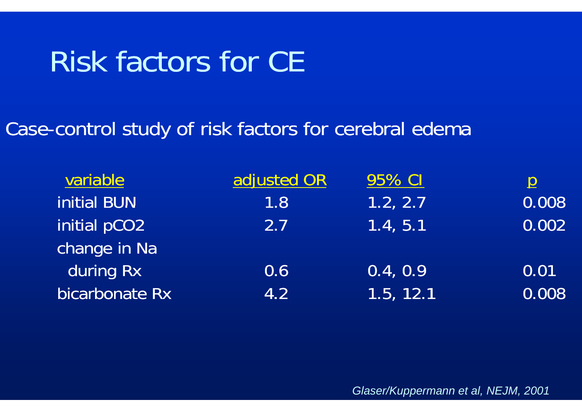### Risk factors for CE

#### Case-control study of risk factors for cerebral edema

| variable           | adjusted OR | 95% CI                 | $\mathbf{D}$ |
|--------------------|-------------|------------------------|--------------|
| <b>initial BUN</b> | 1.8         | 1.2, 2.7               | 0.008        |
| initial pCO2       | 2.7         | 1.4, 5.1               | 0.002        |
| change in Na       |             |                        |              |
| during Rx          | 0.6         | 0.4, 0.9               | 0.01         |
| bicarbonate Rx     | 4.2         | $\overline{1.5, 12.1}$ | 0.008        |

*Glaser/Kuppermann et al, NEJM, 2001*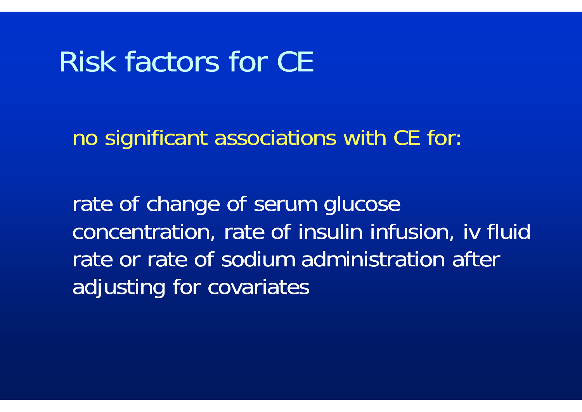### Risk factors for CE

no significant associations with CE for:

rate of change of serum glucose concentration, rate of insulin infusion, iv fluid rate or rate of sodium administration after adjusting for covariates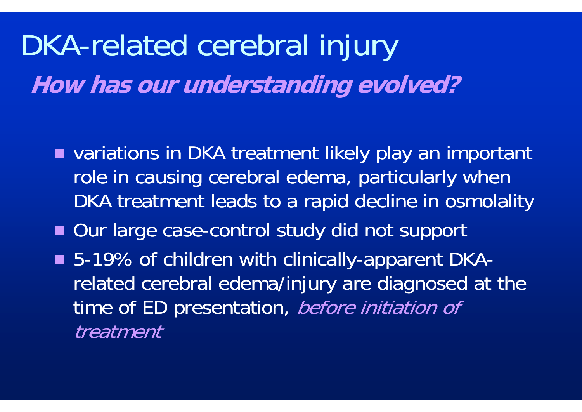## DKA-related cerebral injury **How has our understanding evolved?**

**u** variations in DKA treatment likely play an important role in causing cerebral edema, particularly when DKA treatment leads to a rapid decline in osmolality

■ Our large case-control study did not support

■ 5-19% of children with clinically-apparent DKArelated cerebral edema/injury are diagnosed at the time of ED presentation, before initiation of treatment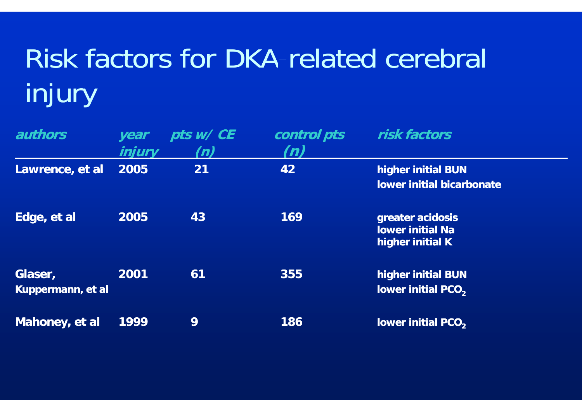## Risk factors for DKA-related cerebral injury

| authors                      | year<br><i>injury</i> | pts w/CE<br>(n) | control pts<br>(n) | risk factors                                                    |
|------------------------------|-----------------------|-----------------|--------------------|-----------------------------------------------------------------|
| Lawrence, et al              | 2005                  | 21              | 42                 | <b>higher initial BUN</b><br>lower initial bicarbonate          |
| Edge, et al                  | 2005                  | 43              | 169                | greater acidosis<br><b>Iower initial Na</b><br>higher initial K |
| Glaser,<br>Kuppermann, et al | 2001                  | 61              | 355                | higher initial BUN<br>lower initial PCO <sub>2</sub>            |
| Mahoney, et al               | 1999                  | 9               | 186                | lower initial PCO <sub>2</sub>                                  |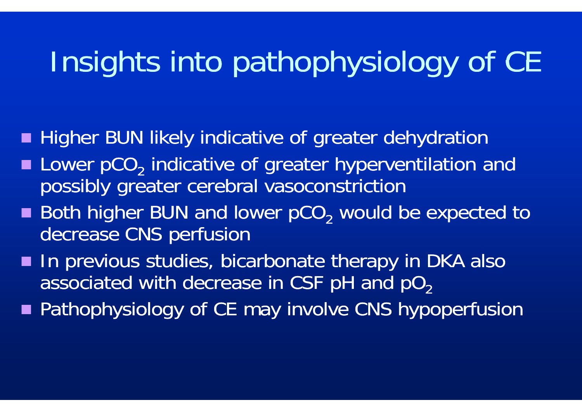## Insights into pathophysiology of CE

- **Higher BUN likely indicative of greater dehydration Lower pCO<sub>2</sub>** indicative of greater hyperventilation and possibly greater cerebral vasoconstriction
- **Both higher BUN and lower pCO<sub>2</sub> would be expected to** decrease CNS perfusion
- **n** In previous studies, bicarbonate therapy in DKA also associated with decrease in CSF pH and pO<sub>2</sub>
- **Pathophysiology of CE may involve CNS hypoperfusion**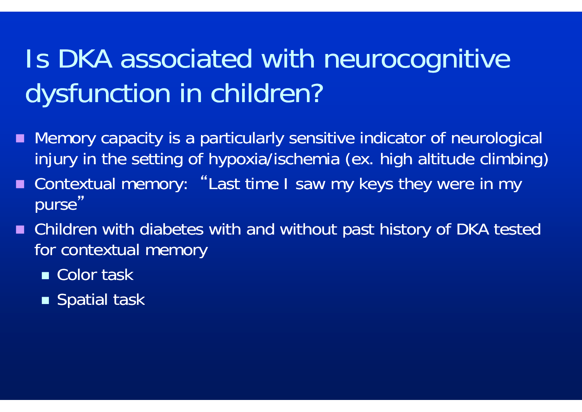## Is DKA associated with neurocognitive dysfunction in children?

- Memory capacity is a particularly sensitive indicator of neurological injury in the setting of hypoxia/ischemia (ex. high altitude climbing)
- Contextual memory: "Last time I saw my keys they were in my purse "
- Children with diabetes with and without past history of DKA tested for contextual memory
	- Color task
	- Spatial task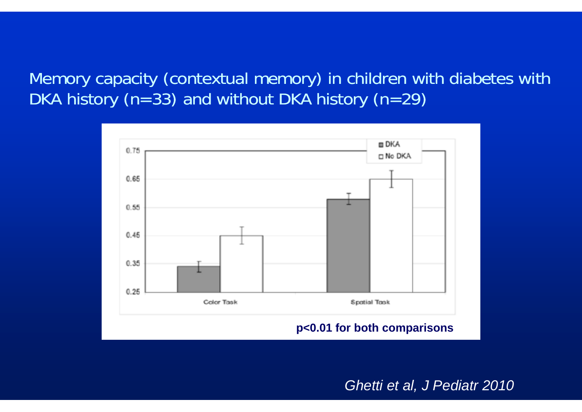#### Memory capacity (contextual memory) in children with diabetes with DKA history (n=33) and without DKA history (n=29)



*Ghetti et al, J Pediatr 2010*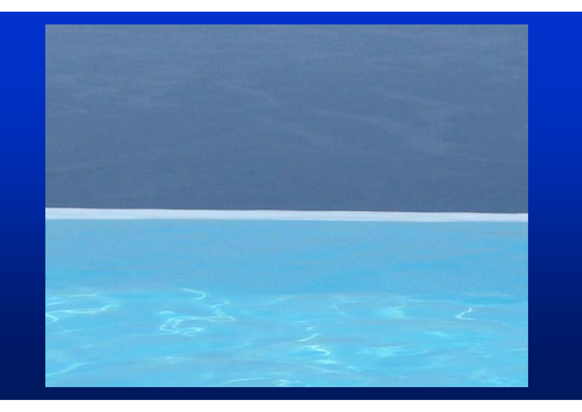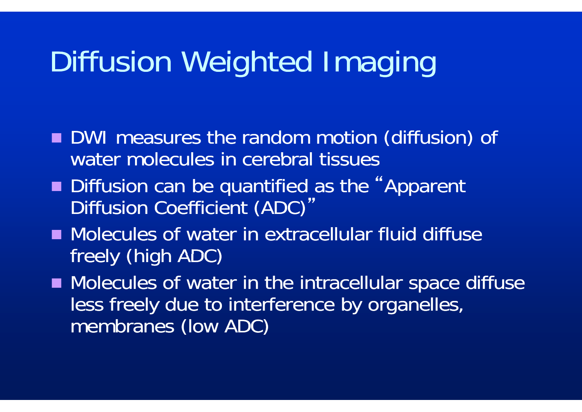## Diffusion Weighted Imaging

- **DWI** measures the random motion (diffusion) of water molecules in cerebral tissues
- Diffusion can be quantified as the "Apparent Diffusion Coefficient (ADC)"
- Molecules of water in extracellular fluid diffuse freely (high ADC)
- **Nolecules of water in the intracellular space diffuse** less freely due to interference by organelles, membranes (low ADC)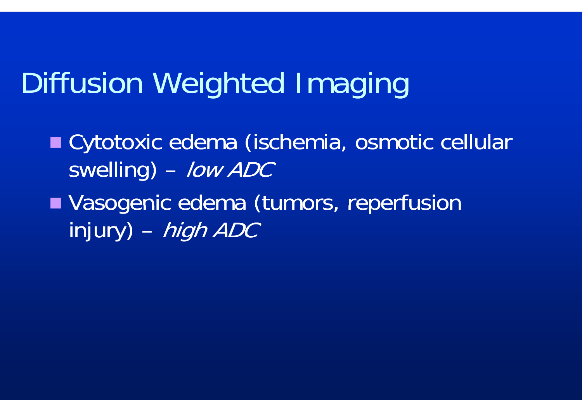## Diffusion Weighted Imaging

- Cytotoxic edema (ischemia, osmotic cellular swellin g) – low ADC
- **Nasogenic edema (tumors, reperfusion**  $injury$ ) – *high ADC*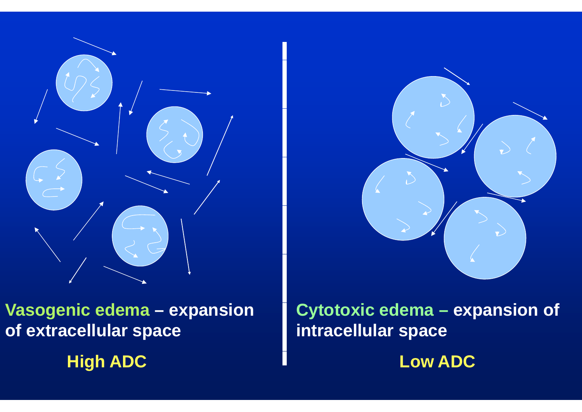

**Vasogenic edema – expansion of extracellular space High ADC Low ADC**



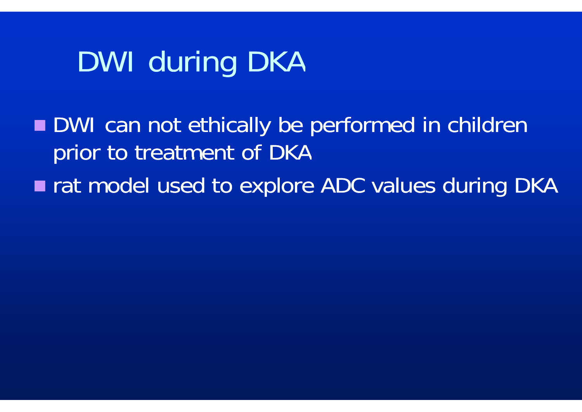## DWI during DKA

**DWI** can not ethically be performed in children prior to treatment of DKA ■ rat model used to explore ADC values during DKA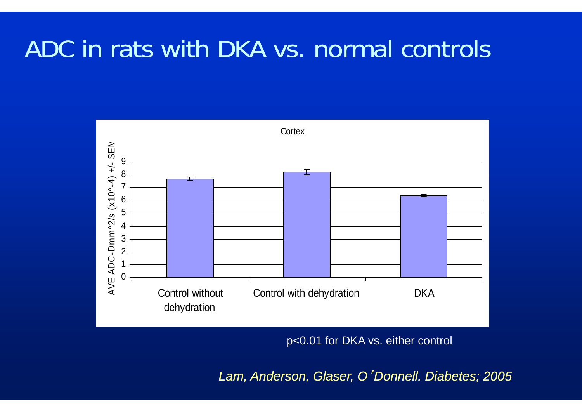#### ADC in rats with DKA vs. normal controls



p<0.01 for DKA vs. either control

*Lam, Anderson, Glaser, O*'*Donnell. Diabetes; 2005*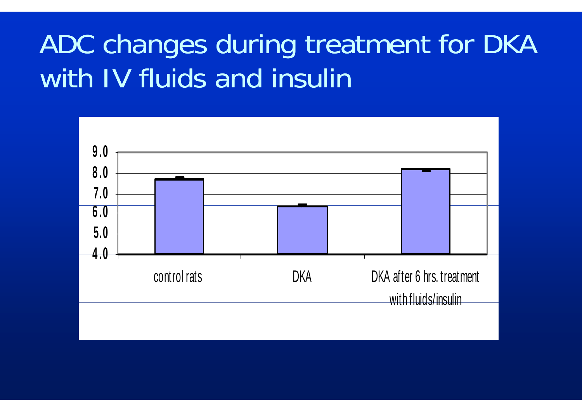## ADC changes during treatment for DKA with IV fluids and insulin

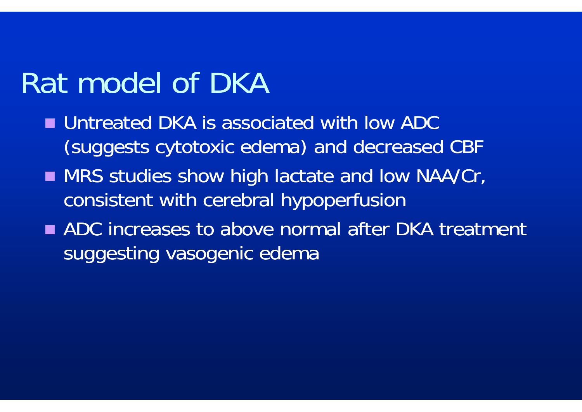# Rat model of DKA

- П Untreated DKA is associated with low ADC (suggests cytotoxic edema) and decreased CBF
- MRS studies show high lactate and low NAA/Cr, consistent with cerebral hypoperfusion
- ADC increases to above normal after DKA treatment suggesting vasogenic edema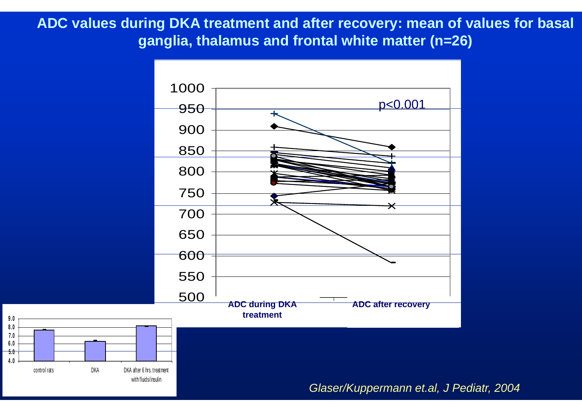#### **ADC values during DKA treatment and after recovery: mean of values for basal ganglia, thalamus and frontal white matter (n=26)**



**5 0 5.06.0 7.0 8.09.0**

**4.0**

*Glaser/Kuppermann et.al, J Pediatr, 2004*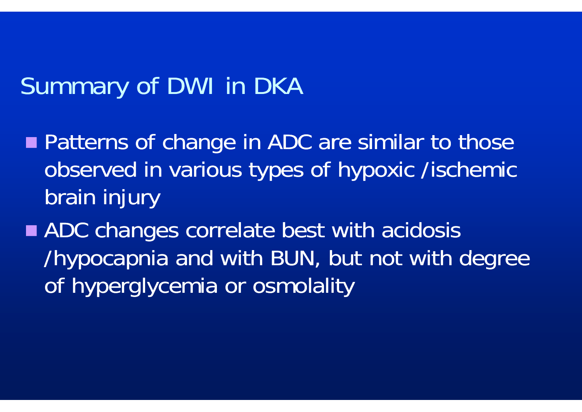#### Summary of DWI in DKA

**Patterns of change in ADC are similar to those** observed in various types of hypoxic /ischemic brain injury

■ ADC changes correlate best with acidosis /hypocapnia and with BUN, but not with degree of hyperglycemia or osmolality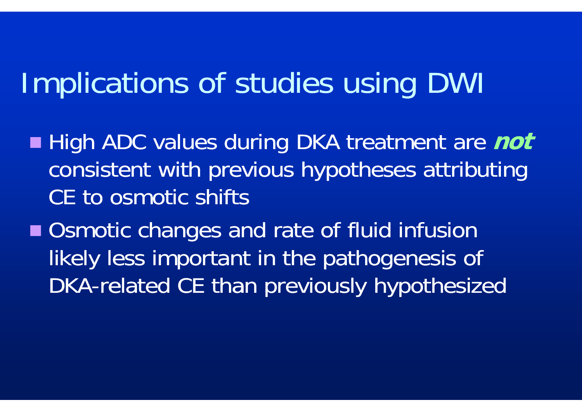## Implications of studies using DWI

■ High ADC values during DKA treatment are *not* consistent with previous hypotheses attributin g CE to osmotic shifts

■ Osmotic changes and rate of fluid infusion likely less important in the pathogenesis of DKA-related CE than previously hypothesized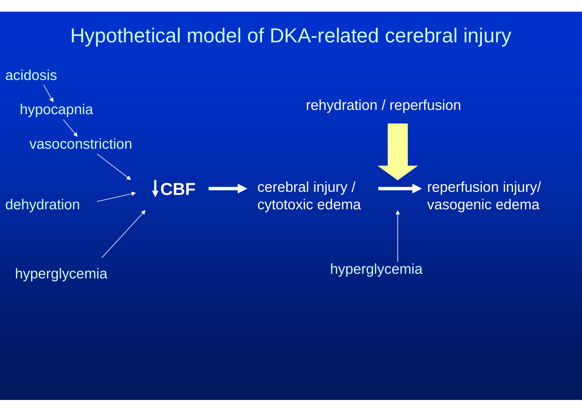#### Hypothetical model of DKA-related cerebral injury

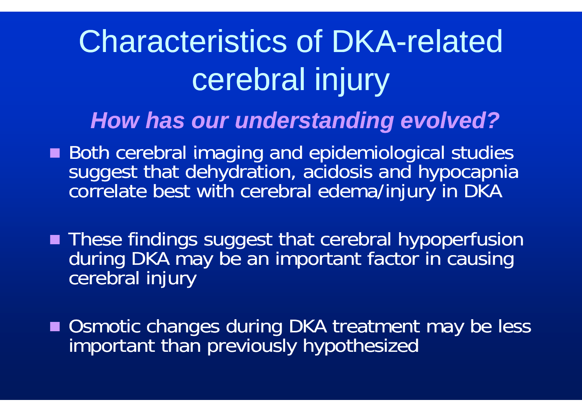# **Characteristics of DKA-related** cerebral injury

#### *How has our understanding evolved ?*

- Both cerebral imaging and epidemiological studies suggest that dehydration, acidosis and hypocapnia correlate best with cerebral edema/injury in DKA
- **These findings suggest that cerebral hypoperfusion** during DKA may be an important factor in causing cerebral injury
- Osmotic changes during DKA treatment may be less important than previously hypothesized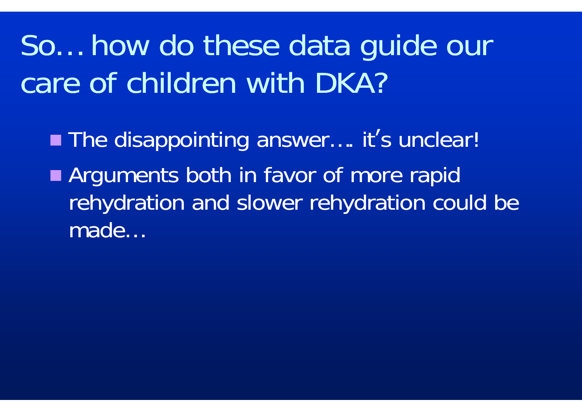So… how do these data guide our care of children with DKA?

■ The disappointing answer.... it's unclear! **Arguments both in favor of more rapid** rehydration and slower rehydration could be made…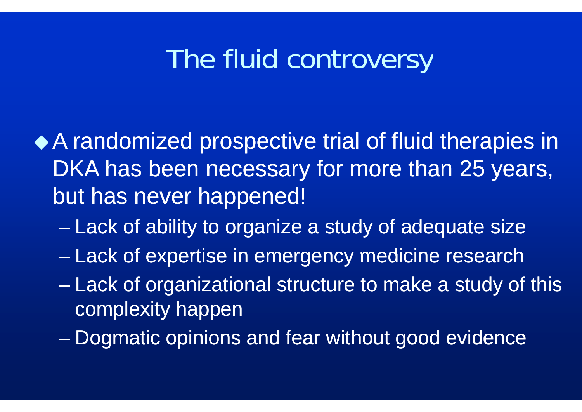#### The fluid controversy

A randomized prospective trial of fluid therapies in DKA has been necessary for more than 25 years, but has never happened!

- –Lack of ability to organize a study of adequate size
- Lack of expertise in emergency medicine research
- – Lack of organizational structure to make a study of this complexity happen
- –Dogmatic opinions and fear without good evidence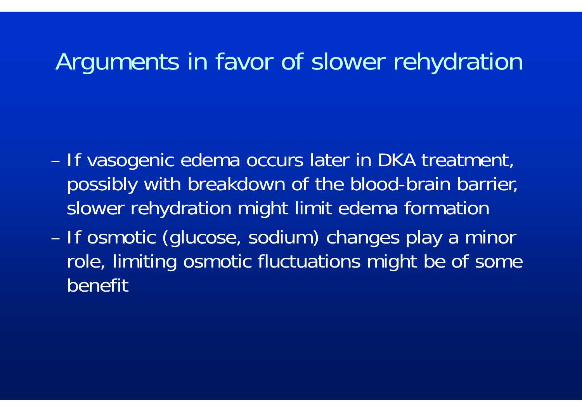#### Arguments in favor of slower rehydration

- –- If vasogenic edema occurs later in DKA treatment, possibly with breakdown of the blood-brain barrier, slower rehydration might limit edema formation
- – If osmotic (glucose, sodium) changes play a minor role, limiting osmotic fluctuations might be of some benefit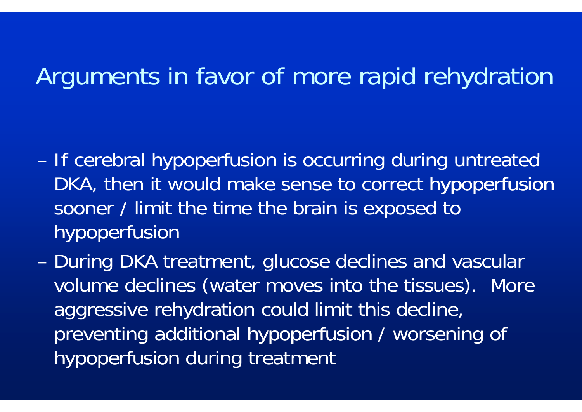#### Arguments in favor of more rapid rehydration

- –– If cerebral hypoperfusion is occurring during untreated DKA, then it would make sense to correct hypoperfusion sooner / limit the time the brain is exposed to hypoperfusion
- –- During DKA treatment, glucose declines and vascular volume declines (water moves into the tissues). More aggressive rehydration could limit this decline, preventing additional hypoperfusion / worsening of hypoperfusion during treatment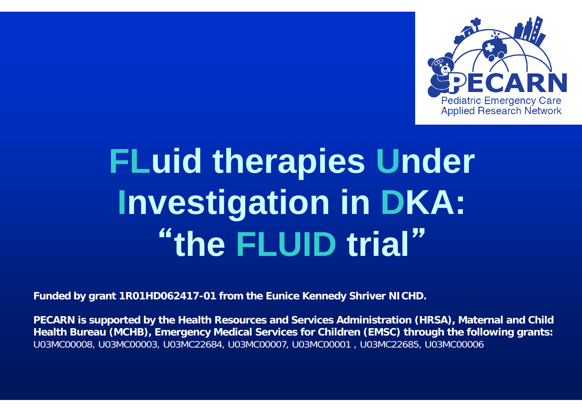

# **FLuid therapies Under Investigation in DKA:** "**the FLUID trial**"

**Funded by grant 1R01HD062417-01 from the Eunice Kennedy Shriver NICHD.** 

**PECARN is supported by the Health Resources and Services Administration (HRSA), Maternal and Child Health Bureau (MCHB), Emergency Medical Services for Children (EMSC) through the following grants:**  U03MC00008, U03MC00003, U03MC22684, U03MC00007, U03MC00001 , U03MC22685, U03MC00006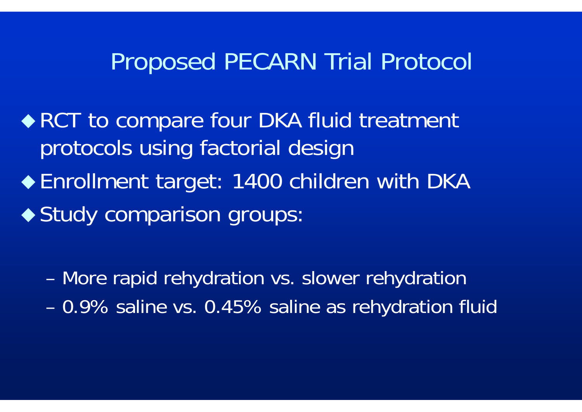#### Proposed PECARN Trial Protocol

◆ RCT to compare four DKA fluid treatment protocols using factorial design Enrollment target: 1400 children with DKA ◆ Study comparison groups:

– More rapid rehydration vs. slower rehydration – $-$  0.9% saline vs. 0.45% saline as rehydration fluid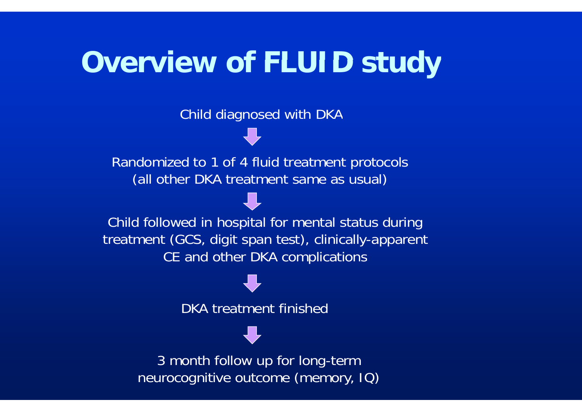### **Overview of FLUID study study**

Child diagnosed with DKA

Randomized to 1 of 4 fluid treatment protocols (all other DKA treatment same as usual)

Child followed in hospital for mental status during treatment (GCS, digit span test), clinically-apparent CE and other DKA complications

DKA treatment finished

3 month follow up for lon g-term neurocognitive outcome (memory, IQ)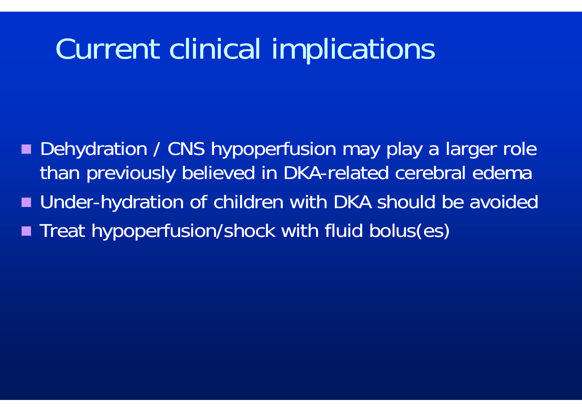## Current clinical implications

Dehydration / CNS hypoperfusion may play a larger role than previously believed in DKA-related cerebral edema ■ Under-hydration of children with DKA should be avoided Treat hypoperfusion/shock with fluid bolus(es)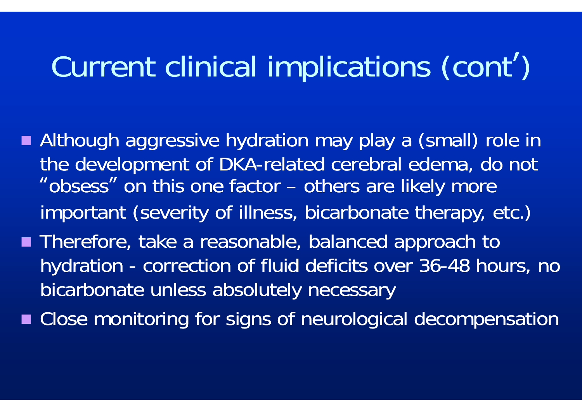#### Current clinical implications (cont' )

- **Although aggressive hydration may play a (small) role in** the development of DKA-related cerebral edema, do not "obsess " on this one factor – others are likely more important (severity of illness, bicarbonate therapy, etc.)
- **Therefore, take a reasonable, balanced approach to** hydration - correction of fluid deficits over 36-48 hours, no bicarbonate unless absolutely necessary
- **ORIGHT Close monitoring for signs of neurological decompensation**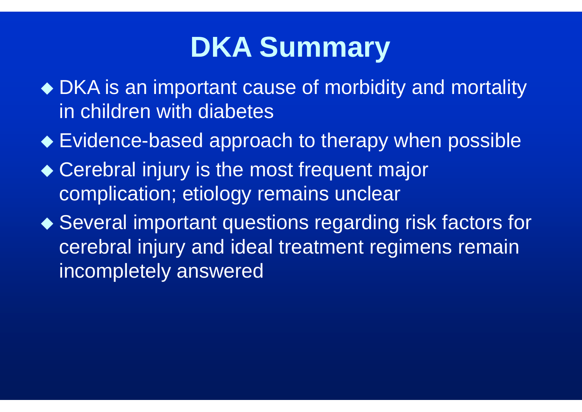## **DKA Summary**

- DKA is an important cause of morbidity and mortality in children with diabetes
- ◆ Evidence-based approach to therapy when possible
- ◆ Cerebral injury is the most frequent major complication; etiology remains unclear
- ◆ Several important questions regarding risk factors for cerebral injury and ideal treatment regimens remain incompletely answered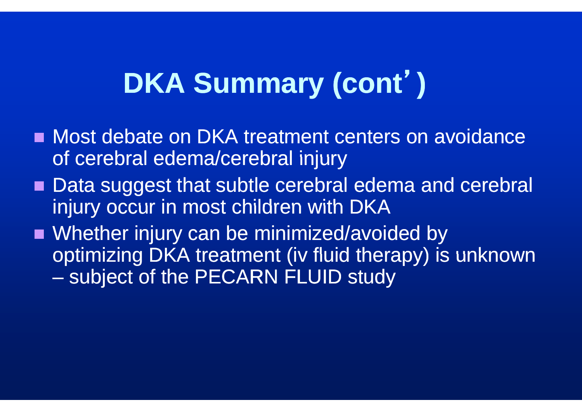#### **DKA Summary (cont** '**)**

- Most debate on DKA treatment centers on avoidance of cerebral edema/cerebral injury
- Data suggest that subtle cerebral edema and cerebral injury occur in most children with DKA
- **Number injury can be minimized/avoided by Artical** optimizing DKA treatment (iv fluid therapy) is unknown –subject of the PECARN FLUID study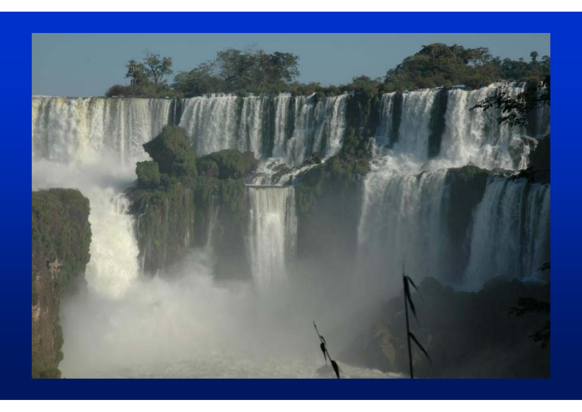